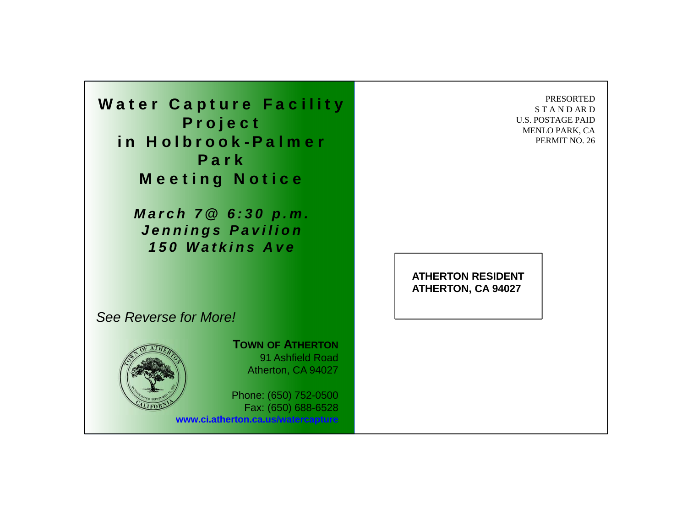Water Capture Facility Project in Holbrook-Palmer ParkMeeting Notice

> *March 7@ 6:30 p.m. Jennings Pavilion 150 Watkins Ave*

PRESORTEDS T A N D AR D U.S. POSTAGE PAIDMENLO PARK, CA PERMIT NO. 26

**ATHERTON RESIDENTATHERTON, CA 94027**

## *See Reverse for More!*



**TOWN OF ATHERTON** 91 Ashfield RoadAtherton, CA 94027

Phone: (650) 752-0500 Fax: (650) 688-6528 **www.ci.atherton.ca.us/watercapture**